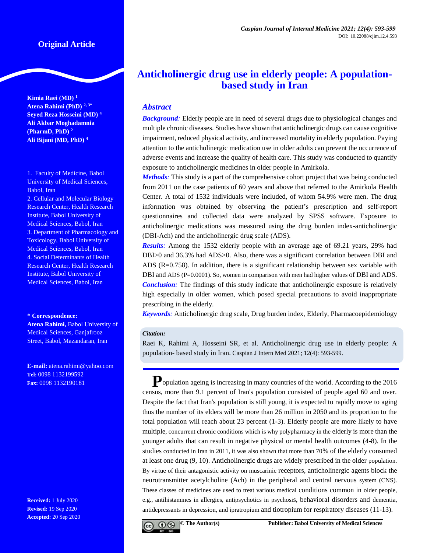**Kimia Raei (MD) <sup>1</sup> Atena Rahimi (PhD) 2, 3\* Seyed Reza Hosseini (MD) <sup>4</sup> Ali Akbar Moghadamnia (PharmD, PhD) <sup>2</sup> Ali Bijani (MD, PhD) <sup>4</sup>**

1. Faculty of Medicine, Babol University of Medical Sciences, Babol, Iran

2. Cellular and Molecular Biology Research Center, Health Research Institute, Babol University of Medical Sciences, Babol, Iran 3. Department of Pharmacology and Toxicology, Babol University of Medical Sciences, Babol, Iran 4. Social Determinants of Health Research Center, Health Research Institute, Babol University of Medical Sciences, Babol, Iran

#### **\* Correspondence:**

**Atena Rahimi,** Babol University of Medical Sciences, Ganjafrooz Street, Babol, Mazandaran, Iran

**E-mail:** atena.rahimi@yahoo.com **Tel:** 0098 1132199592 **Fax:** 0098 1132190181

**Received:** 1 July 2020 **Revised:** 19 Sep 2020 **Accepted:** 20 Sep 2020

# **Anticholinergic drug use in elderly people: A populationbased study in Iran**

# *Abstract*

**Background**: Elderly people are in need of several drugs due to physiological changes and multiple chronic diseases. Studies have shown that anticholinergic drugs can cause cognitive impairment, reduced physical activity, and increased mortality in elderly population. Paying attention to the anticholinergic medication use in older adults can prevent the occurrence of adverse events and increase the quality of health care. This study was conducted to quantify exposure to anticholinergic medicines in older people in Amirkola.

*Methods:* This study is a part of the comprehensive cohort project that was being conducted from 2011 on the case patients of 60 years and above that referred to the Amirkola Health Center. A total of 1532 individuals were included, of whom 54.9% were men. The drug information was obtained by observing the patient's prescription and self-report questionnaires and collected data were analyzed by SPSS software. Exposure to anticholinergic medications was measured using the drug burden index-anticholinergic (DBI-Ach) and the anticholinergic drug scale (ADS).

*Results:* Among the 1532 elderly people with an average age of 69.21 years, 29% had DBI>0 and 36.3% had ADS>0. Also, there was a significant correlation between DBI and ADS  $(R=0.758)$ . In addition, there is a significant relationship between sex variable with DBI and ADS (P=0.0001). So, women in comparison with men had higher values of DBI and ADS. *Conclusion:* The findings of this study indicate that anticholinergic exposure is relatively high especially in older women, which posed special precautions to avoid inappropriate prescribing in the elderly.

*Keywords:* Anticholinergic drug scale, Drug burden index, Elderly, Pharmacoepidemiology

#### *Citation:*

Raei K, Rahimi A, Hosseini SR, et al. Anticholinergic drug use in elderly people: A population- based study in Iran. Caspian J Intern Med 2021; 12(4): 593-599.

**P**opulation ageing is increasing in many countries of the world. According to the 2016 census, more than 9.1 percent of Iran's population consisted of people aged 60 and over. Despite the fact that Iran's population is still young, it is expected to rapidly move to aging thus the number of its elders will be more than 26 million in 2050 and its proportion to the total population will reach about 23 percent (1-3). Elderly people are more likely to have multiple, concurrent chronic conditions which is why polypharmacy in the elderly is more than the younger adults that can result in negative physical or mental health outcomes (4-8). In the studies conducted in Iran in 2011, it was also shown that more than 70% of the elderly consumed at least one drug (9, 10). Anticholinergic drugs are widely prescribed in the older population. By virtue of their antagonistic activity on muscarinic receptors, anticholinergic agents block the neurotransmitter acetylcholine (Ach) in the peripheral and central nervous system (CNS). These classes of medicines are used to treat various medical conditions common in older people, e.g., antihistamines in allergies, antipsychotics in psychosis, behavioral disorders and dementia, antidepressants in depression, and ipratropium and tiotropium for respiratory diseases (11-13).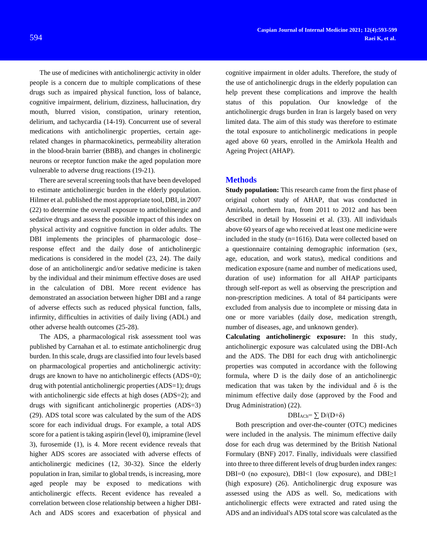The use of medicines with anticholinergic activity in older people is a concern due to multiple complications of these drugs such as impaired physical function, loss of balance, cognitive impairment, delirium, dizziness, hallucination, dry mouth, blurred vision, constipation, urinary retention, delirium, and tachycardia (14-19). Concurrent use of several medications with anticholinergic properties, certain agerelated changes in pharmacokinetics, permeability alteration in the blood-brain barrier (BBB), and changes in cholinergic neurons or receptor function make the aged population more vulnerable to adverse drug reactions (19-21).

There are several screening tools that have been developed to estimate anticholinergic burden in the elderly population. Hilmer et al. published the most appropriate tool, DBI, in 2007 (22) to determine the overall exposure to anticholinergic and sedative drugs and assess the possible impact of this index on physical activity and cognitive function in older adults. The DBI implements the principles of pharmacologic dose– response effect and the daily dose of anticholinergic medications is considered in the model (23, 24). The daily dose of an anticholinergic and/or sedative medicine is taken by the individual and their minimum effective doses are used in the calculation of DBI. More recent evidence has demonstrated an association between higher DBI and a range of adverse effects such as reduced physical function, falls, infirmity, difficulties in activities of daily living (ADL) and other adverse health outcomes (25-28).

The ADS, a pharmacological risk assessment tool was published by Carnahan et al. to estimate anticholinergic drug burden. In this scale, drugs are classified into four levels based on pharmacological properties and anticholinergic activity: drugs are known to have no anticholinergic effects (ADS=0); drug with potential anticholinergic properties (ADS=1); drugs with anticholinergic side effects at high doses (ADS=2); and drugs with significant anticholinergic properties (ADS=3) (29). ADS total score was calculated by the sum of the ADS score for each individual drugs. For example, a total ADS score for a patient is taking aspirin (level 0), imipramine (level 3), furosemide (1), is 4. More recent evidence reveals that higher ADS scores are associated with adverse effects of anticholinergic medicines (12, 30-32). Since the elderly population in Iran, similar to global trends, is increasing, more aged people may be exposed to medications with anticholinergic effects. Recent evidence has revealed a correlation between close relationship between a higher DBI-Ach and ADS scores and exacerbation of physical and

cognitive impairment in older adults. Therefore, the study of the use of anticholinergic drugs in the elderly population can help prevent these complications and improve the health status of this population. Our knowledge of the anticholinergic drugs burden in Iran is largely based on very limited data. The aim of this study was therefore to estimate the total exposure to anticholinergic medications in people aged above 60 years, enrolled in the Amirkola Health and Ageing Project (AHAP).

#### **Methods**

**Study population:** This research came from the first phase of original cohort study of AHAP, that was conducted in Amirkola, northern Iran, from 2011 to 2012 and has been described in detail by Hosseini et al. (33). All individuals above 60 years of age who received at least one medicine were included in the study (n=1616). Data were collected based on a questionnaire containing demographic information (sex, age, education, and work status), medical conditions and medication exposure (name and number of medications used, duration of use) information for all AHAP participants through self-report as well as observing the prescription and non-prescription medicines. A total of 84 participants were excluded from analysis due to incomplete or missing data in one or more variables (daily dose, medication strength, number of diseases, age, and unknown gender).

**Calculating anticholinergic exposure:** In this study, anticholinergic exposure was calculated using the DBI-Ach and the ADS. The DBI for each drug with anticholinergic properties was computed in accordance with the following formula, where D is the daily dose of an anticholinergic medication that was taken by the individual and  $\delta$  is the minimum effective daily dose (approved by the Food and Drug Administration) (22).

## $DBI_{ACh} = \sum D/(D+\delta)$

Both prescription and over-the-counter (OTC) medicines were included in the analysis. The minimum effective daily dose for each drug was determined by the British National Formulary (BNF) 2017. Finally, individuals were classified into three to three different levels of drug burden index ranges: DBI=0 (no exposure), DBI<1 (low exposure), and DBI $\geq$ 1 (high exposure) (26). Anticholinergic drug exposure was assessed using the ADS as well. So, medications with anticholinergic effects were extracted and rated using the ADS and an individual's ADS total score was calculated as the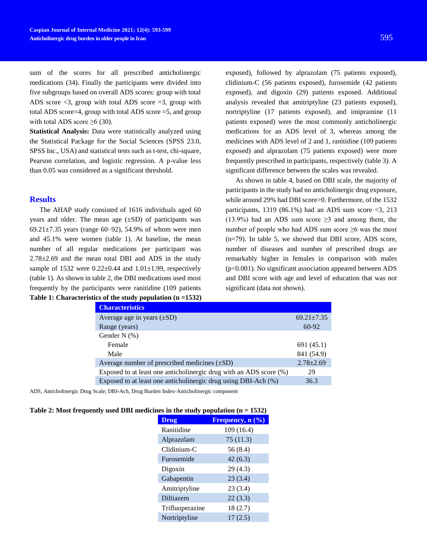sum of the scores for all prescribed anticholinergic medications (34). Finally the participants were divided into five subgroups based on overall ADS scores: group with total ADS score  $\leq$ 3, group with total ADS score  $=$ 3, group with total ADS score=4, group with total ADS score =5, and group with total ADS score  $\geq 6$  (30).

**Statistical Analysis:** Data were statistically analyzed using the Statistical Package for the Social Sciences (SPSS 23.0, SPSS Inc., USA) and statistical tests such as t-test, chi-square, Pearson correlation, and logistic regression. A p-value less than 0.05 was considered as a significant threshold.

### **Results**

The AHAP study consisted of 1616 individuals aged 60 years and older. The mean age  $(\pm SD)$  of participants was 69.21 $\pm$ 7.35 years (range 60–92), 54.9% of whom were men and 45.1% were women (table 1). At baseline, the mean number of all regular medications per participant was 2.78±2.69 and the mean total DBI and ADS in the study sample of 1532 were  $0.22 \pm 0.44$  and  $1.01 \pm 1.99$ , respectively (table 1). As shown in table 2, the DBI medications used most frequently by the participants were ranitidine (109 patients **Table 1: Characteristics of the study population (n =1532)**

exposed), followed by alprazolam (75 patients exposed), clidinium-C (56 patients exposed), furosemide (42 patients exposed), and digoxin (29) patients exposed. Additional analysis revealed that amitriptyline (23 patients exposed), nortriptyline (17 patients exposed), and imipramine (11 patients exposed) were the most commonly anticholinergic medications for an ADS level of 3, whereas among the medicines with ADS level of 2 and 1, ranitidine (109 patients exposed) and alprazolam (75 patients exposed) were more frequently prescribed in participants, respectively (table 3). A significant difference between the scales was revealed.

As shown in table 4, based on DBI scale, the majority of participants in the study had no anticholinergic drug exposure, while around 29% had DBI score>0. Furthermore, of the 1532 participants, 1319 (86.1%) had an ADS sum score  $\langle 3, 213 \rangle$ (13.9%) had an ADS sum score  $\geq$ 3 and among them, the number of people who had ADS sum score  $\geq 6$  was the most (n=79). In table 5, we showed that DBI score, ADS score, number of diseases and number of prescribed drugs are remarkably higher in females in comparison with males (p<0.001). No significant association appeared between ADS and DBI score with age and level of education that was not significant (data not shown).

| <b>Characteristics</b>                                             |                  |
|--------------------------------------------------------------------|------------------|
| Average age in years $(\pm SD)$                                    | $69.21 \pm 7.35$ |
| Range (years)                                                      | 60-92            |
| Gender N $(\% )$                                                   |                  |
| Female                                                             | 691 (45.1)       |
| Male                                                               | 841 (54.9)       |
| Average number of prescribed medicines $(\pm SD)$                  | $2.78 \pm 2.69$  |
| Exposed to at least one anticholinergic drug with an ADS score (%) | 29               |
| Exposed to at least one anticholinergic drug using DBI-Ach (%)     | 36.3             |

ADS, Anticholinergic Drug Scale; DBI-Ach, Drug Burden Index-Anticholinergic component

| Table 2: Most frequently used DBI medicines in the study population $(n = 1532)$ |  |  |  |
|----------------------------------------------------------------------------------|--|--|--|
|                                                                                  |  |  |  |

|                 | $\mathbf{m}$ cs in the study population $(\mathbf{n} - \mathbf{1} \mathcal{I} \mathcal{I})$ |  |  |
|-----------------|---------------------------------------------------------------------------------------------|--|--|
| <b>Drug</b>     | Frequency, $n(\frac{6}{6})$                                                                 |  |  |
| Ranitidine      | 109 (16.4)                                                                                  |  |  |
| Alprazolam      | 75(11.3)                                                                                    |  |  |
| Clidinium-C     | 56 (8.4)                                                                                    |  |  |
| Furosemide      | 42(6.3)                                                                                     |  |  |
| Digoxin         | 29(4.3)                                                                                     |  |  |
| Gabapentin      | 23(3.4)                                                                                     |  |  |
| Amitriptyline   | 23(3.4)                                                                                     |  |  |
| Diltiazem       | 22(3.3)                                                                                     |  |  |
| Trifluoperazine | 18(2.7)                                                                                     |  |  |
| Nortriptyline   | 17(2.5)                                                                                     |  |  |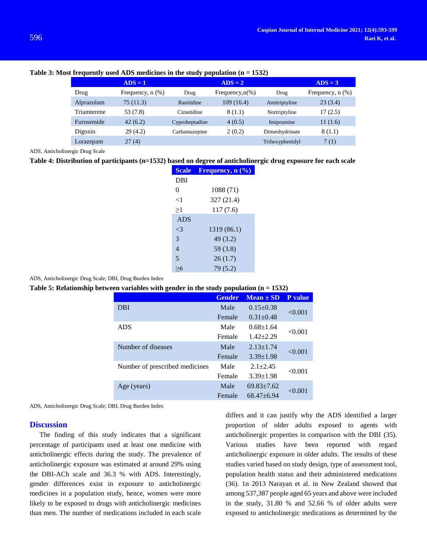|             | $ADS = 1$             |                | $\overline{\bf{ADS}} = 2$ |                 | $ADS = 3$             |
|-------------|-----------------------|----------------|---------------------------|-----------------|-----------------------|
| Drug        | Frequency, $n$ $(\%)$ | Drug           | Frequency, $n(\%)$        | Drug            | Frequency, $n$ $(\%)$ |
| Alprazolam  | 75 (11.3)             | Ranitidine     | 109(16.4)                 | Amitriptyline   | 23(3.4)               |
| Triamterene | 53 (7.8)              | Cimetidine     | 8 (1.1)                   | Nortriptyline   | 17(2.5)               |
| Furosemide  | 42(6.2)               | Cyproheptadine | 4(0.5)                    | Imipramine      | 11(1.6)               |
| Digoxin     | 29(4.2)               | Carbamazepine  | 2(0.2)                    | Dimenhydrinate  | 8(1.1)                |
| Lorazepam   | 27(4)                 |                |                           | Trihexyphenidyl | 7(1)                  |

#### **Table 3: Most frequently used ADS medicines in the study population (n = 1532)**

ADS, Anticholinergic Drug Scale

#### **Table 4: Distribution of participants (n=1532) based on degree of anticholinergic drug exposure for each scale**

| <b>Scale</b>   | Frequency, $n$ $(\%)$ |
|----------------|-----------------------|
| DBI            |                       |
| 0              | 1088 (71)             |
| ${<}1$         | 327 (21.4)            |
| >1             | 117(7.6)              |
| <b>ADS</b>     |                       |
| $\mathbf{<}$ 3 | 1319 (86.1)           |
| 3              | 49 (3.2)              |
| 4              | 59 (3.8)              |
| 5              | 26(1.7)               |
|                | 79 (5.2)              |
|                |                       |

ADS, Anticholinergic Drug Scale; DBI, Drug Burden Index

**Table 5: Relationship between variables with gender in the study population (n = 1532)**

|                                | <b>Gender</b> | $Mean \pm SD$    | P value |  |
|--------------------------------|---------------|------------------|---------|--|
| DBI                            | Male          | $0.15 \pm 0.38$  |         |  |
|                                | Female        | $0.31 + 0.48$    | < 0.001 |  |
| <b>ADS</b>                     | Male          | $0.68 + 1.64$    |         |  |
|                                | Female        | $1.42 + 2.29$    | < 0.001 |  |
| Number of diseases             | Male          | $2.13 \pm 1.74$  |         |  |
|                                | Female        | $3.39 \pm 1.98$  | < 0.001 |  |
| Number of prescribed medicines | Male          | $2.1 + 2.45$     |         |  |
|                                | Female        | $3.39 \pm 1.98$  | < 0.001 |  |
| Age (years)                    | Male          | $69.83 \pm 7.62$ |         |  |
|                                | Female        | $68.47 + 6.94$   | < 0.001 |  |

ADS, Anticholinergic Drug Scale; DBI, Drug Burden Index

#### **Discussion**

The finding of this study indicates that a significant percentage of participants used at least one medicine with anticholinergic effects during the study. The prevalence of anticholinergic exposure was estimated at around 29% using the DBI-ACh scale and 36.3 % with ADS. Interestingly, gender differences exist in exposure to anticholinergic medicines in a population study, hence, women were more likely to be exposed to drugs with anticholinergic medicines than men. The number of medications included in each scale differs and it can justify why the ADS identified a larger proportion of older adults exposed to agents with anticholinergic properties in comparison with the DBI (35). Various studies have been reported with regard anticholinergic exposure in older adults. The results of these studies varied based on study design, type of assessment tool, population health status and their administered medications (36). 1n 2013 Narayan et al. in New Zealand showed that among 537,387 people aged 65 years and above were included in the study, 31.80 % and 52.66 % of older adults were exposed to anticholinergic medications as determined by the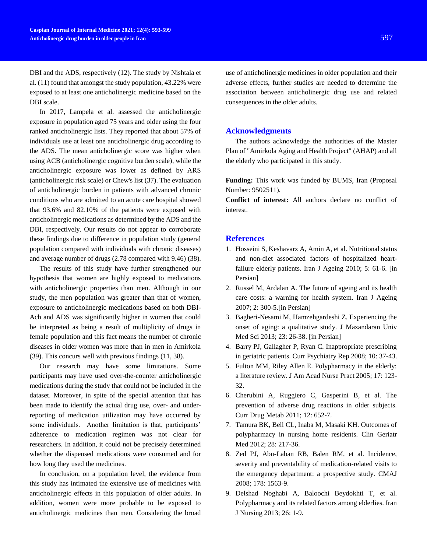DBI and the ADS, respectively (12). The study by Nishtala et al. (11) found that amongst the study population, 43.22% were exposed to at least one anticholinergic medicine based on the DBI scale.

In 2017, Lampela et al. assessed the anticholinergic exposure in population aged 75 years and older using the four ranked anticholinergic lists. They reported that about 57% of individuals use at least one anticholinergic drug according to the ADS. The mean anticholinergic score was higher when using ACB (anticholinergic cognitive burden scale), while the anticholinergic exposure was lower as defined by ARS (anticholinergic risk scale) or Chew's list (37). The evaluation of anticholinergic burden in patients with advanced chronic conditions who are admitted to an acute care hospital showed that 93.6% and 82.10% of the patients were exposed with anticholinergic medications as determined by the ADS and the DBI, respectively. Our results do not appear to corroborate these findings due to difference in population study (general population compared with individuals with chronic diseases) and average number of drugs (2.78 compared with 9.46) (38).

The results of this study have further strengthened our hypothesis that women are highly exposed to medications with anticholinergic properties than men. Although in our study, the men population was greater than that of women, exposure to anticholinergic medications based on both DBI-Ach and ADS was significantly higher in women that could be interpreted as being a result of multiplicity of drugs in female population and this fact means the number of chronic diseases in older women was more than in men in Amirkola (39). This concurs well with previous findings (11, 38).

Our research may have some limitations. Some participants may have used over-the-counter anticholinergic medications during the study that could not be included in the dataset. Moreover, in spite of the special attention that has been made to identify the actual drug use, over- and underreporting of medication utilization may have occurred by some individuals. Another limitation is that, participants' adherence to medication regimen was not clear for researchers. In addition, it could not be precisely determined whether the dispensed medications were consumed and for how long they used the medicines.

In conclusion, on a population level, the evidence from this study has intimated the extensive use of medicines with anticholinergic effects in this population of older adults. In addition, women were more probable to be exposed to anticholinergic medicines than men. Considering the broad

use of anticholinergic medicines in older population and their adverse effects, further studies are needed to determine the association between anticholinergic drug use and related consequences in the older adults.

#### **Acknowledgments**

The authors acknowledge the authorities of the Master Plan of "Amirkola Aging and Health Project" (AHAP) and all the elderly who participated in this study.

**Funding:** This work was funded by BUMS, Iran (Proposal Number: 9502511).

**Conflict of interest:** All authors declare no conflict of interest.

## **References**

- 1. Hosseini S, Keshavarz A, Amin A, et al. Nutritional status and non-diet associated factors of hospitalized heartfailure elderly patients. Iran J Ageing 2010; 5: 61-6. [in Persian]
- 2. Russel M, Ardalan A. The future of ageing and its health care costs: a warning for health system. Iran J Ageing 2007; 2: 300-5.[in Persian]
- 3. Bagheri-Nesami M, Hamzehgardeshi Z. Experiencing the onset of aging: a qualitative study. J Mazandaran Univ Med Sci 2013; 23: 26-38. [in Persian]
- 4. Barry PJ, Gallagher P, Ryan C. Inappropriate prescribing in geriatric patients. Curr Psychiatry Rep 2008; 10: 37-43.
- 5. Fulton MM, Riley Allen E. Polypharmacy in the elderly: a literature review. J Am Acad Nurse Pract 2005; 17: 123- 32.
- 6. Cherubini A, Ruggiero C, Gasperini B, et al. The prevention of adverse drug reactions in older subjects. Curr Drug Metab 2011; 12: 652-7.
- 7. Tamura BK, Bell CL, Inaba M, Masaki KH. Outcomes of polypharmacy in nursing home residents. Clin Geriatr Med 2012; 28: 217-36.
- 8. Zed PJ, Abu-Laban RB, Balen RM, et al. Incidence, severity and preventability of medication-related visits to the emergency department: a prospective study. CMAJ 2008; 178: 1563-9.
- 9. Delshad Noghabi A, Baloochi Beydokhti T, et al. Polypharmacy and its related factors among elderlies. Iran J Nursing 2013; 26: 1-9.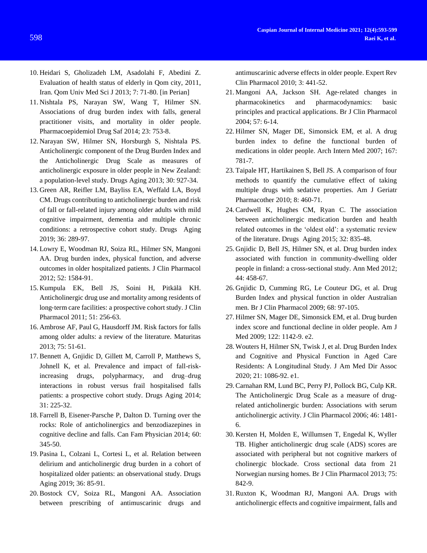- 10. Heidari S, Gholizadeh LM, Asadolahi F, Abedini Z. Evaluation of health status of elderly in Qom city, 2011, Iran. Qom Univ Med Sci J 2013; 7: 71-80. [in Perian]
- 11. Nishtala PS, Narayan SW, Wang T, Hilmer SN. Associations of drug burden index with falls, general practitioner visits, and mortality in older people. Pharmacoepidemiol Drug Saf 2014; 23: 753-8.
- 12. Narayan SW, Hilmer SN, Horsburgh S, Nishtala PS. Anticholinergic component of the Drug Burden Index and the Anticholinergic Drug Scale as measures of anticholinergic exposure in older people in New Zealand: a population-level study. Drugs Aging 2013; 30: 927-34.
- 13. Green AR, Reifler LM, Bayliss EA, Weffald LA, Boyd CM. Drugs contributing to anticholinergic burden and risk of fall or fall-related injury among older adults with mild cognitive impairment, dementia and multiple chronic conditions: a retrospective cohort study. Drugs Aging 2019; 36: 289-97.
- 14. Lowry E, Woodman RJ, Soiza RL, Hilmer SN, Mangoni AA. Drug burden index, physical function, and adverse outcomes in older hospitalized patients. J Clin Pharmacol 2012; 52: 1584-91.
- 15. Kumpula EK, Bell JS, Soini H, Pitkälä KH. Anticholinergic drug use and mortality among residents of long‐term care facilities: a prospective cohort study. J Clin Pharmacol 2011; 51: 256-63.
- 16. Ambrose AF, Paul G, Hausdorff JM. Risk factors for falls among older adults: a review of the literature. Maturitas 2013; 75: 51-61.
- 17. Bennett A, Gnjidic D, Gillett M, Carroll P, Matthews S, Johnell K, et al. Prevalence and impact of fall-riskincreasing drugs, polypharmacy, and drug–drug interactions in robust versus frail hospitalised falls patients: a prospective cohort study. Drugs Aging 2014; 31: 225-32.
- 18. Farrell B, Eisener-Parsche P, Dalton D. Turning over the rocks: Role of anticholinergics and benzodiazepines in cognitive decline and falls. Can Fam Physician 2014; 60: 345-50.
- 19. Pasina L, Colzani L, Cortesi L, et al. Relation between delirium and anticholinergic drug burden in a cohort of hospitalized older patients: an observational study. Drugs Aging 2019; 36: 85-91.
- 20. Bostock CV, Soiza RL, Mangoni AA. Association between prescribing of antimuscarinic drugs and

antimuscarinic adverse effects in older people. Expert Rev Clin Pharmacol 2010; 3: 441-52.

- 21. Mangoni AA, Jackson SH. Age-related changes in pharmacokinetics and pharmacodynamics: basic principles and practical applications. Br J Clin Pharmacol 2004; 57: 6-14.
- 22. Hilmer SN, Mager DE, Simonsick EM, et al. A drug burden index to define the functional burden of medications in older people. Arch Intern Med 2007; 167: 781-7.
- 23. Taipale HT, Hartikainen S, Bell JS. A comparison of four methods to quantify the cumulative effect of taking multiple drugs with sedative properties. Am J Geriatr Pharmacother 2010; 8: 460-71.
- 24. Cardwell K, Hughes CM, Ryan C. The association between anticholinergic medication burden and health related outcomes in the 'oldest old': a systematic review of the literature. Drugs Aging 2015; 32: 835-48.
- 25. Gnjidic D, Bell JS, Hilmer SN, et al. Drug burden index associated with function in community-dwelling older people in finland: a cross-sectional study. Ann Med 2012; 44: 458-67.
- 26. Gnjidic D, Cumming RG, Le Couteur DG, et al. Drug Burden Index and physical function in older Australian men. Br J Clin Pharmacol 2009; 68: 97-105.
- 27. Hilmer SN, Mager DE, Simonsick EM, et al. Drug burden index score and functional decline in older people. Am J Med 2009; 122: 1142-9. e2.
- 28. Wouters H, Hilmer SN, Twisk J, et al. Drug Burden Index and Cognitive and Physical Function in Aged Care Residents: A Longitudinal Study. J Am Med Dir Assoc 2020; 21: 1086-92. e1.
- 29. Carnahan RM, Lund BC, Perry PJ, Pollock BG, Culp KR. The Anticholinergic Drug Scale as a measure of drugrelated anticholinergic burden: Associations with serum anticholinergic activity. J Clin Pharmacol 2006; 46: 1481- 6.
- 30. Kersten H, Molden E, Willumsen T, Engedal K, Wyller TB. Higher anticholinergic drug scale (ADS) scores are associated with peripheral but not cognitive markers of cholinergic blockade. Cross sectional data from 21 Norwegian nursing homes. Br J Clin Pharmacol 2013; 75: 842-9.
- 31. Ruxton K, Woodman RJ, Mangoni AA. Drugs with anticholinergic effects and cognitive impairment, falls and